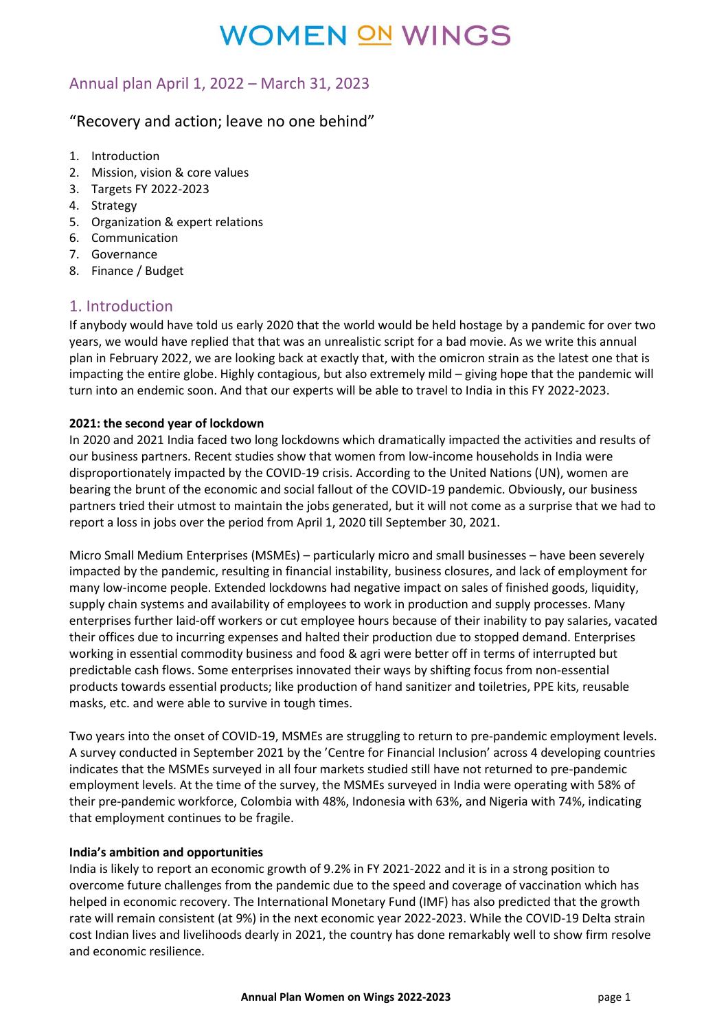## Annual plan April 1, 2022 – March 31, 2023

### "Recovery and action; leave no one behind"

- 1. Introduction
- 2. Mission, vision & core values
- 3. Targets FY 2022-2023
- 4. Strategy
- 5. Organization & expert relations
- 6. Communication
- 7. Governance
- 8. Finance / Budget

### 1. Introduction

If anybody would have told us early 2020 that the world would be held hostage by a pandemic for over two years, we would have replied that that was an unrealistic script for a bad movie. As we write this annual plan in February 2022, we are looking back at exactly that, with the omicron strain as the latest one that is impacting the entire globe. Highly contagious, but also extremely mild – giving hope that the pandemic will turn into an endemic soon. And that our experts will be able to travel to India in this FY 2022-2023.

#### **2021: the second year of lockdown**

In 2020 and 2021 India faced two long lockdowns which dramatically impacted the activities and results of our business partners. Recent studies show that women from low-income households in India were disproportionately impacted by the COVID-19 crisis. According to the United Nations (UN), women are bearing the brunt of the economic and social fallout of the COVID-19 pandemic. Obviously, our business partners tried their utmost to maintain the jobs generated, but it will not come as a surprise that we had to report a loss in jobs over the period from April 1, 2020 till September 30, 2021.

Micro Small Medium Enterprises (MSMEs) – particularly micro and small businesses – have been severely impacted by the pandemic, resulting in financial instability, business closures, and lack of employment for many low-income people. Extended lockdowns had negative impact on sales of finished goods, liquidity, supply chain systems and availability of employees to work in production and supply processes. Many enterprises further laid-off workers or cut employee hours because of their inability to pay salaries, vacated their offices due to incurring expenses and halted their production due to stopped demand. Enterprises working in essential commodity business and food & agri were better off in terms of interrupted but predictable cash flows. Some enterprises innovated their ways by shifting focus from non-essential products towards essential products; like production of hand sanitizer and toiletries, PPE kits, reusable masks, etc. and were able to survive in tough times.

Two years into the onset of COVID-19, MSMEs are struggling to return to pre-pandemic employment levels. A survey conducted in September 2021 by the 'Centre for Financial Inclusion' across 4 developing countries indicates that the MSMEs surveyed in all four markets studied still have not returned to pre-pandemic employment levels. At the time of the survey, the MSMEs surveyed in India were operating with 58% of their pre-pandemic workforce, Colombia with 48%, Indonesia with 63%, and Nigeria with 74%, indicating that employment continues to be fragile.

#### **India's ambition and opportunities**

India is likely to report an economic growth of 9.2% in FY 2021-2022 and it is in a strong position to overcome future challenges from the pandemic due to the speed and coverage of vaccination which has helped in economic recovery. The International Monetary Fund (IMF) has also predicted that the growth rate will remain consistent (at 9%) in the next economic year 2022-2023. While the COVID-19 Delta strain cost Indian lives and livelihoods dearly in 2021, the country has done remarkably well to show firm resolve and economic resilience.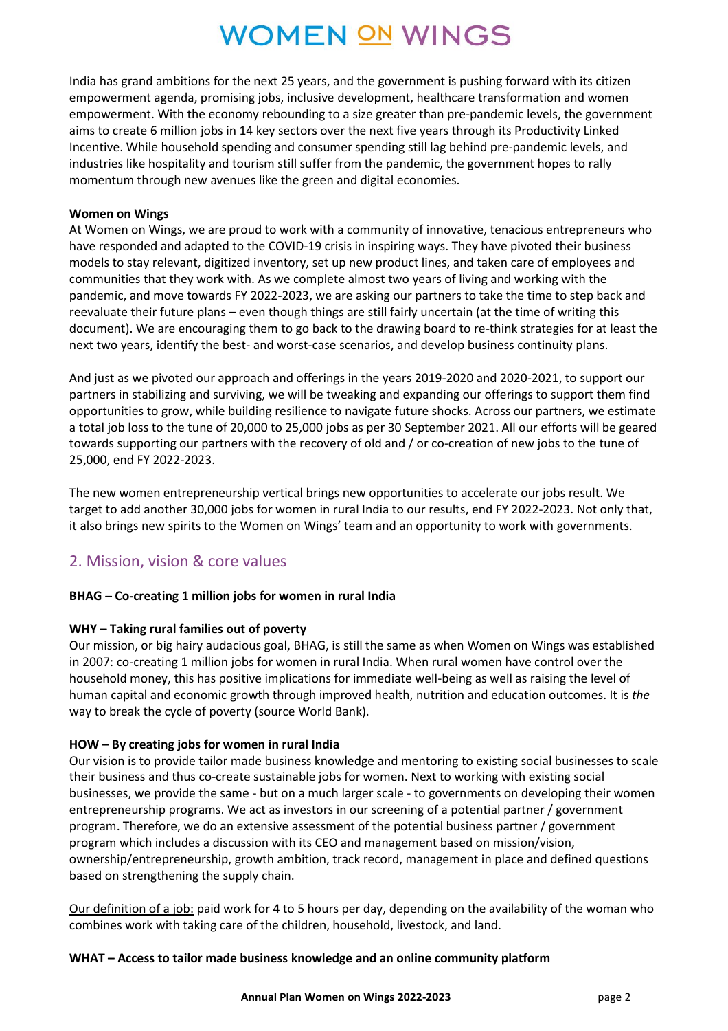India has grand ambitions for the next 25 years, and the government is pushing forward with its citizen empowerment agenda, promising jobs, inclusive development, healthcare transformation and women empowerment. With the economy rebounding to a size greater than pre-pandemic levels, the government aims to create 6 million jobs in 14 key sectors over the next five years through its Productivity Linked Incentive. While household spending and consumer spending still lag behind pre-pandemic levels, and industries like hospitality and tourism still suffer from the pandemic, the government hopes to rally momentum through new avenues like the green and digital economies.

#### **Women on Wings**

At Women on Wings, we are proud to work with a community of innovative, tenacious entrepreneurs who have responded and adapted to the COVID-19 crisis in inspiring ways. They have pivoted their business models to stay relevant, digitized inventory, set up new product lines, and taken care of employees and communities that they work with. As we complete almost two years of living and working with the pandemic, and move towards FY 2022-2023, we are asking our partners to take the time to step back and reevaluate their future plans – even though things are still fairly uncertain (at the time of writing this document). We are encouraging them to go back to the drawing board to re-think strategies for at least the next two years, identify the best- and worst-case scenarios, and develop business continuity plans.

And just as we pivoted our approach and offerings in the years 2019-2020 and 2020-2021, to support our partners in stabilizing and surviving, we will be tweaking and expanding our offerings to support them find opportunities to grow, while building resilience to navigate future shocks. Across our partners, we estimate a total job loss to the tune of 20,000 to 25,000 jobs as per 30 September 2021. All our efforts will be geared towards supporting our partners with the recovery of old and / or co-creation of new jobs to the tune of 25,000, end FY 2022-2023.

The new women entrepreneurship vertical brings new opportunities to accelerate our jobs result. We target to add another 30,000 jobs for women in rural India to our results, end FY 2022-2023. Not only that, it also brings new spirits to the Women on Wings' team and an opportunity to work with governments.

### 2. Mission, vision & core values

#### **BHAG** – **Co-creating 1 million jobs for women in rural India**

#### **WHY – Taking rural families out of poverty**

Our mission, or big hairy audacious goal, BHAG, is still the same as when Women on Wings was established in 2007: co-creating 1 million jobs for women in rural India. When rural women have control over the household money, this has positive implications for immediate well-being as well as raising the level of human capital and economic growth through improved health, nutrition and education outcomes. It is *the* way to break the cycle of poverty (source World Bank).

#### **HOW – By creating jobs for women in rural India**

Our vision is to provide tailor made business knowledge and mentoring to existing social businesses to scale their business and thus co-create sustainable jobs for women. Next to working with existing social businesses, we provide the same - but on a much larger scale - to governments on developing their women entrepreneurship programs. We act as investors in our screening of a potential partner / government program. Therefore, we do an extensive assessment of the potential business partner / government program which includes a discussion with its CEO and management based on mission/vision, ownership/entrepreneurship, growth ambition, track record, management in place and defined questions based on strengthening the supply chain.

Our definition of a job: paid work for 4 to 5 hours per day, depending on the availability of the woman who combines work with taking care of the children, household, livestock, and land.

#### **WHAT – Access to tailor made business knowledge and an online community platform**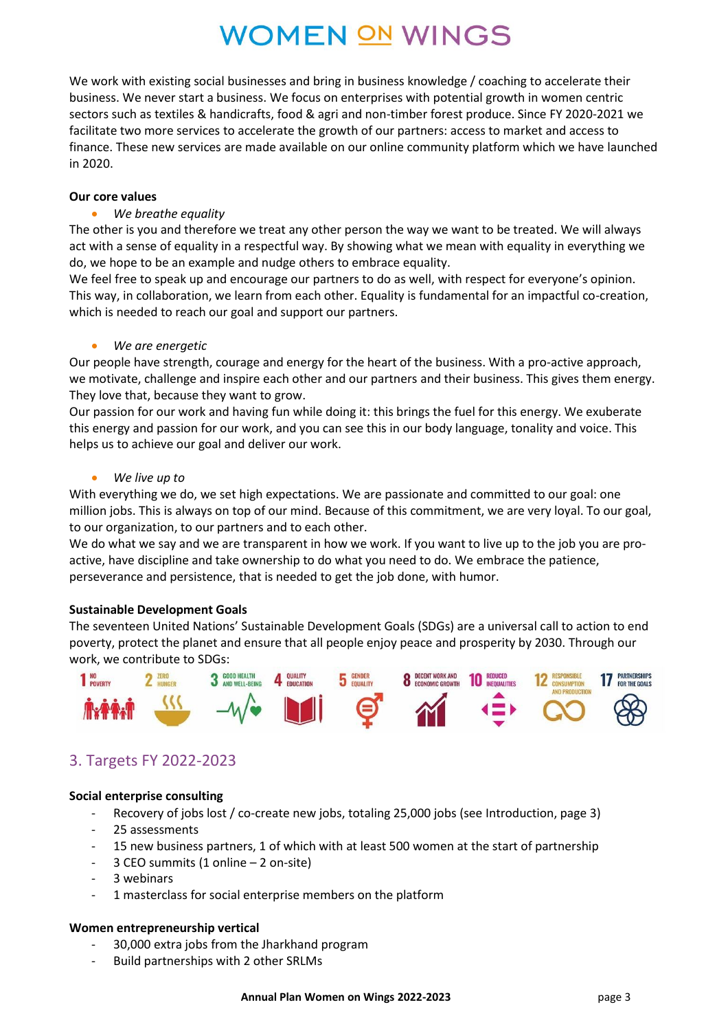We work with existing social businesses and bring in business knowledge / coaching to accelerate their business. We never start a business. We focus on enterprises with potential growth in women centric sectors such as textiles & handicrafts, food & agri and non-timber forest produce. Since FY 2020-2021 we facilitate two more services to accelerate the growth of our partners: access to market and access to finance. These new services are made available on our online community platform which we have launched in 2020.

#### **Our core values**

#### • *We breathe equality*

The other is you and therefore we treat any other person the way we want to be treated. We will always act with a sense of equality in a respectful way. By showing what we mean with equality in everything we do, we hope to be an example and nudge others to embrace equality.

We feel free to speak up and encourage our partners to do as well, with respect for everyone's opinion. This way, in collaboration, we learn from each other. Equality is fundamental for an impactful co-creation, which is needed to reach our goal and support our partners.

#### • *We are energetic*

Our people have strength, courage and energy for the heart of the business. With a pro-active approach, we motivate, challenge and inspire each other and our partners and their business. This gives them energy. They love that, because they want to grow.

Our passion for our work and having fun while doing it: this brings the fuel for this energy. We exuberate this energy and passion for our work, and you can see this in our body language, tonality and voice. This helps us to achieve our goal and deliver our work.

#### • *We live up to*

With everything we do, we set high expectations. We are passionate and committed to our goal: one million jobs. This is always on top of our mind. Because of this commitment, we are very loyal. To our goal, to our organization, to our partners and to each other.

We do what we say and we are transparent in how we work. If you want to live up to the job you are proactive, have discipline and take ownership to do what you need to do. We embrace the patience, perseverance and persistence, that is needed to get the job done, with humor.

#### **Sustainable Development Goals**

The seventeen United Nations' Sustainable Development Goals (SDGs) are a universal call to action to end poverty, protect the planet and ensure that all people enjoy peace and prosperity by 2030. Through our work, we contribute to SDGs:



### 3. Targets FY 2022-2023

#### **Social enterprise consulting**

- Recovery of jobs lost / co-create new jobs, totaling 25,000 jobs (see Introduction, page 3)
- 25 assessments
- 15 new business partners, 1 of which with at least 500 women at the start of partnership
- 3 CEO summits (1 online 2 on-site)
- 3 webinars
- 1 masterclass for social enterprise members on the platform

#### **Women entrepreneurship vertical**

- 30,000 extra jobs from the Jharkhand program
- Build partnerships with 2 other SRLMs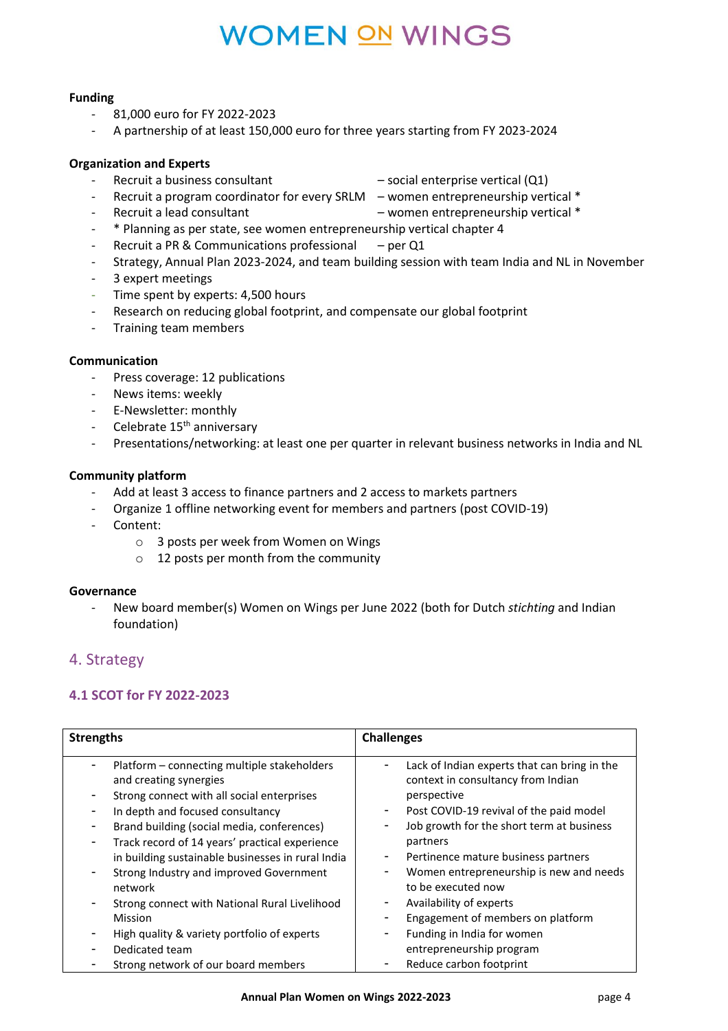### **Funding**

- 81,000 euro for FY 2022-2023
- A partnership of at least 150,000 euro for three years starting from FY 2023-2024

#### **Organization and Experts**

- Recruit a business consultant social enterprise vertical (Q1)
- 
- Recruit a program coordinator for every SRLM women entrepreneurship vertical \*
- Recruit a lead consultant  $-$  women entrepreneurship vertical  $*$
- \* Planning as per state, see women entrepreneurship vertical chapter 4
- Recruit a PR & Communications professional  $-$  per Q1
- Strategy, Annual Plan 2023-2024, and team building session with team India and NL in November
- 3 expert meetings
- Time spent by experts: 4,500 hours
- Research on reducing global footprint, and compensate our global footprint
- Training team members

#### **Communication**

- Press coverage: 12 publications
- News items: weekly
- E-Newsletter: monthly
- Celebrate  $15<sup>th</sup>$  anniversary
- Presentations/networking: at least one per quarter in relevant business networks in India and NL

#### **Community platform**

- Add at least 3 access to finance partners and 2 access to markets partners
- Organize 1 offline networking event for members and partners (post COVID-19)
- Content:
	- o 3 posts per week from Women on Wings
	- o 12 posts per month from the community

#### **Governance**

- New board member(s) Women on Wings per June 2022 (both for Dutch *stichting* and Indian foundation)

### 4. Strategy

### **4.1 SCOT for FY 2022-2023**

| <b>Strengths</b>                                                                                                                                                                                                                                                                                                                                                                                                                                                                                                                                                                        | <b>Challenges</b>                                                                                                                                                                                                                                                                                                                                                                                                          |
|-----------------------------------------------------------------------------------------------------------------------------------------------------------------------------------------------------------------------------------------------------------------------------------------------------------------------------------------------------------------------------------------------------------------------------------------------------------------------------------------------------------------------------------------------------------------------------------------|----------------------------------------------------------------------------------------------------------------------------------------------------------------------------------------------------------------------------------------------------------------------------------------------------------------------------------------------------------------------------------------------------------------------------|
| Platform – connecting multiple stakeholders<br>٠<br>and creating synergies<br>Strong connect with all social enterprises<br>In depth and focused consultancy<br>٠<br>Brand building (social media, conferences)<br>$\overline{\phantom{a}}$<br>Track record of 14 years' practical experience<br>$\overline{\phantom{a}}$<br>in building sustainable businesses in rural India<br>Strong Industry and improved Government<br>$\overline{\phantom{a}}$<br>network<br>Strong connect with National Rural Livelihood<br>۰<br><b>Mission</b><br>High quality & variety portfolio of experts | Lack of Indian experts that can bring in the<br>context in consultancy from Indian<br>perspective<br>Post COVID-19 revival of the paid model<br>Job growth for the short term at business<br>-<br>partners<br>Pertinence mature business partners<br>۰<br>Women entrepreneurship is new and needs<br>to be executed now<br>Availability of experts<br>۰<br>Engagement of members on platform<br>Funding in India for women |
| Dedicated team                                                                                                                                                                                                                                                                                                                                                                                                                                                                                                                                                                          | entrepreneurship program                                                                                                                                                                                                                                                                                                                                                                                                   |
| Strong network of our board members                                                                                                                                                                                                                                                                                                                                                                                                                                                                                                                                                     | Reduce carbon footprint                                                                                                                                                                                                                                                                                                                                                                                                    |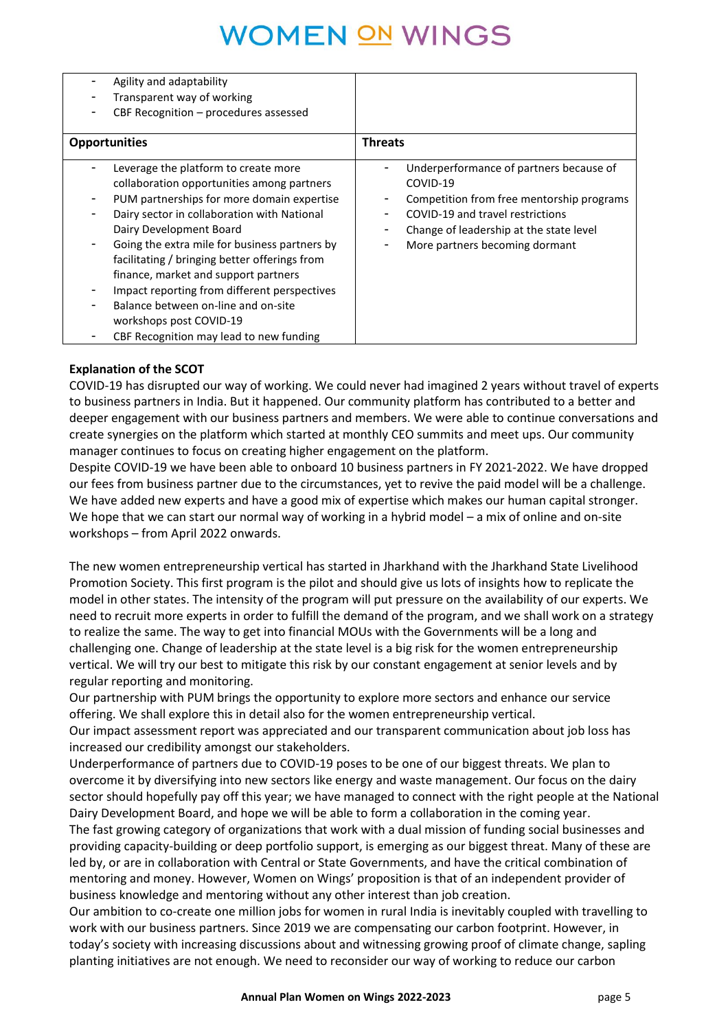| Agility and adaptability                                                                                                                                                                                                                                                                                                                                                                                                                                                                                               |                                                                                                                                                                                                                        |
|------------------------------------------------------------------------------------------------------------------------------------------------------------------------------------------------------------------------------------------------------------------------------------------------------------------------------------------------------------------------------------------------------------------------------------------------------------------------------------------------------------------------|------------------------------------------------------------------------------------------------------------------------------------------------------------------------------------------------------------------------|
| Transparent way of working                                                                                                                                                                                                                                                                                                                                                                                                                                                                                             |                                                                                                                                                                                                                        |
| CBF Recognition - procedures assessed                                                                                                                                                                                                                                                                                                                                                                                                                                                                                  |                                                                                                                                                                                                                        |
|                                                                                                                                                                                                                                                                                                                                                                                                                                                                                                                        |                                                                                                                                                                                                                        |
| <b>Opportunities</b>                                                                                                                                                                                                                                                                                                                                                                                                                                                                                                   | <b>Threats</b>                                                                                                                                                                                                         |
| Leverage the platform to create more<br>collaboration opportunities among partners<br>PUM partnerships for more domain expertise<br>Dairy sector in collaboration with National<br>Dairy Development Board<br>Going the extra mile for business partners by<br>-<br>facilitating / bringing better offerings from<br>finance, market and support partners<br>Impact reporting from different perspectives<br>Balance between on-line and on-site<br>workshops post COVID-19<br>CBF Recognition may lead to new funding | Underperformance of partners because of<br>COVID-19<br>Competition from free mentorship programs<br>COVID-19 and travel restrictions<br>Change of leadership at the state level<br>More partners becoming dormant<br>۰ |

#### **Explanation of the SCOT**

COVID-19 has disrupted our way of working. We could never had imagined 2 years without travel of experts to business partners in India. But it happened. Our community platform has contributed to a better and deeper engagement with our business partners and members. We were able to continue conversations and create synergies on the platform which started at monthly CEO summits and meet ups. Our community manager continues to focus on creating higher engagement on the platform.

Despite COVID-19 we have been able to onboard 10 business partners in FY 2021-2022. We have dropped our fees from business partner due to the circumstances, yet to revive the paid model will be a challenge. We have added new experts and have a good mix of expertise which makes our human capital stronger. We hope that we can start our normal way of working in a hybrid model – a mix of online and on-site workshops – from April 2022 onwards.

The new women entrepreneurship vertical has started in Jharkhand with the Jharkhand State Livelihood Promotion Society. This first program is the pilot and should give us lots of insights how to replicate the model in other states. The intensity of the program will put pressure on the availability of our experts. We need to recruit more experts in order to fulfill the demand of the program, and we shall work on a strategy to realize the same. The way to get into financial MOUs with the Governments will be a long and challenging one. Change of leadership at the state level is a big risk for the women entrepreneurship vertical. We will try our best to mitigate this risk by our constant engagement at senior levels and by regular reporting and monitoring.

Our partnership with PUM brings the opportunity to explore more sectors and enhance our service offering. We shall explore this in detail also for the women entrepreneurship vertical.

Our impact assessment report was appreciated and our transparent communication about job loss has increased our credibility amongst our stakeholders.

Underperformance of partners due to COVID-19 poses to be one of our biggest threats. We plan to overcome it by diversifying into new sectors like energy and waste management. Our focus on the dairy sector should hopefully pay off this year; we have managed to connect with the right people at the National Dairy Development Board, and hope we will be able to form a collaboration in the coming year. The fast growing category of organizations that work with a dual mission of funding social businesses and providing capacity-building or deep portfolio support, is emerging as our biggest threat. Many of these are led by, or are in collaboration with Central or State Governments, and have the critical combination of mentoring and money. However, Women on Wings' proposition is that of an independent provider of business knowledge and mentoring without any other interest than job creation.

Our ambition to co-create one million jobs for women in rural India is inevitably coupled with travelling to work with our business partners. Since 2019 we are compensating our carbon footprint. However, in today's society with increasing discussions about and witnessing growing proof of climate change, sapling planting initiatives are not enough. We need to reconsider our way of working to reduce our carbon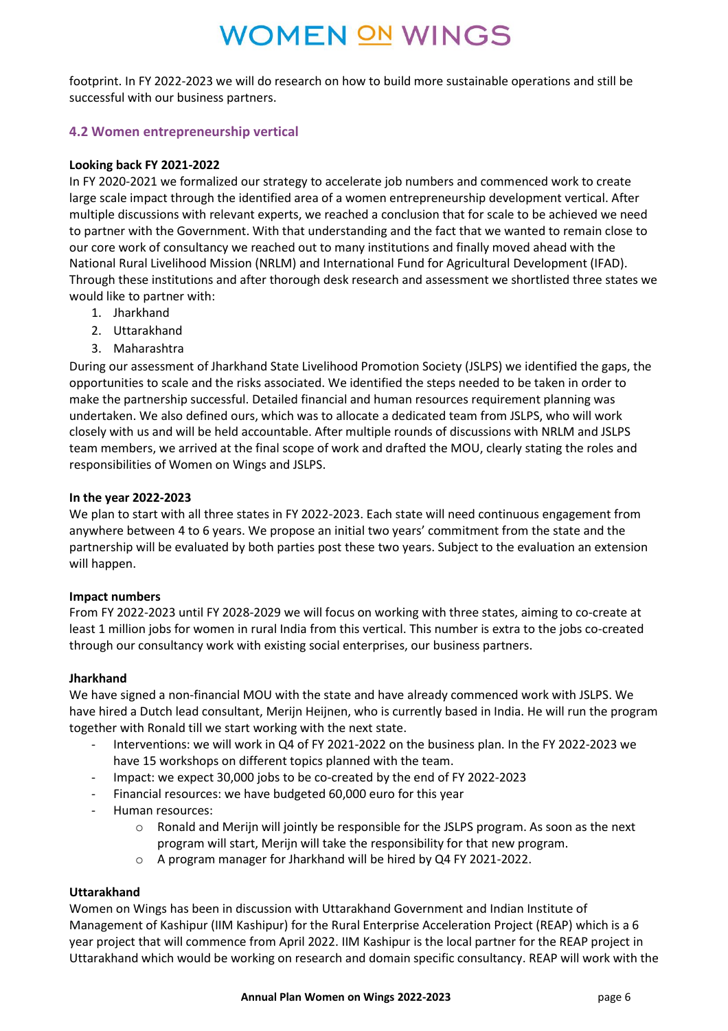footprint. In FY 2022-2023 we will do research on how to build more sustainable operations and still be successful with our business partners.

### **4.2 Women entrepreneurship vertical**

#### **Looking back FY 2021-2022**

In FY 2020-2021 we formalized our strategy to accelerate job numbers and commenced work to create large scale impact through the identified area of a women entrepreneurship development vertical. After multiple discussions with relevant experts, we reached a conclusion that for scale to be achieved we need to partner with the Government. With that understanding and the fact that we wanted to remain close to our core work of consultancy we reached out to many institutions and finally moved ahead with the National Rural Livelihood Mission (NRLM) and International Fund for Agricultural Development (IFAD). Through these institutions and after thorough desk research and assessment we shortlisted three states we would like to partner with:

- 1. Jharkhand
- 2. Uttarakhand
- 3. Maharashtra

During our assessment of Jharkhand State Livelihood Promotion Society (JSLPS) we identified the gaps, the opportunities to scale and the risks associated. We identified the steps needed to be taken in order to make the partnership successful. Detailed financial and human resources requirement planning was undertaken. We also defined ours, which was to allocate a dedicated team from JSLPS, who will work closely with us and will be held accountable. After multiple rounds of discussions with NRLM and JSLPS team members, we arrived at the final scope of work and drafted the MOU, clearly stating the roles and responsibilities of Women on Wings and JSLPS.

#### **In the year 2022-2023**

We plan to start with all three states in FY 2022-2023. Each state will need continuous engagement from anywhere between 4 to 6 years. We propose an initial two years' commitment from the state and the partnership will be evaluated by both parties post these two years. Subject to the evaluation an extension will happen.

#### **Impact numbers**

From FY 2022-2023 until FY 2028-2029 we will focus on working with three states, aiming to co-create at least 1 million jobs for women in rural India from this vertical. This number is extra to the jobs co-created through our consultancy work with existing social enterprises, our business partners.

#### **Jharkhand**

We have signed a non-financial MOU with the state and have already commenced work with JSLPS. We have hired a Dutch lead consultant, Merijn Heijnen, who is currently based in India. He will run the program together with Ronald till we start working with the next state.

- Interventions: we will work in Q4 of FY 2021-2022 on the business plan. In the FY 2022-2023 we have 15 workshops on different topics planned with the team.
- Impact: we expect 30,000 jobs to be co-created by the end of FY 2022-2023
- Financial resources: we have budgeted 60,000 euro for this year
- Human resources:
	- o Ronald and Merijn will jointly be responsible for the JSLPS program. As soon as the next program will start, Merijn will take the responsibility for that new program.
	- o A program manager for Jharkhand will be hired by Q4 FY 2021-2022.

#### **Uttarakhand**

Women on Wings has been in discussion with Uttarakhand Government and Indian Institute of Management of Kashipur (IIM Kashipur) for the Rural Enterprise Acceleration Project (REAP) which is a 6 year project that will commence from April 2022. IIM Kashipur is the local partner for the REAP project in Uttarakhand which would be working on research and domain specific consultancy. REAP will work with the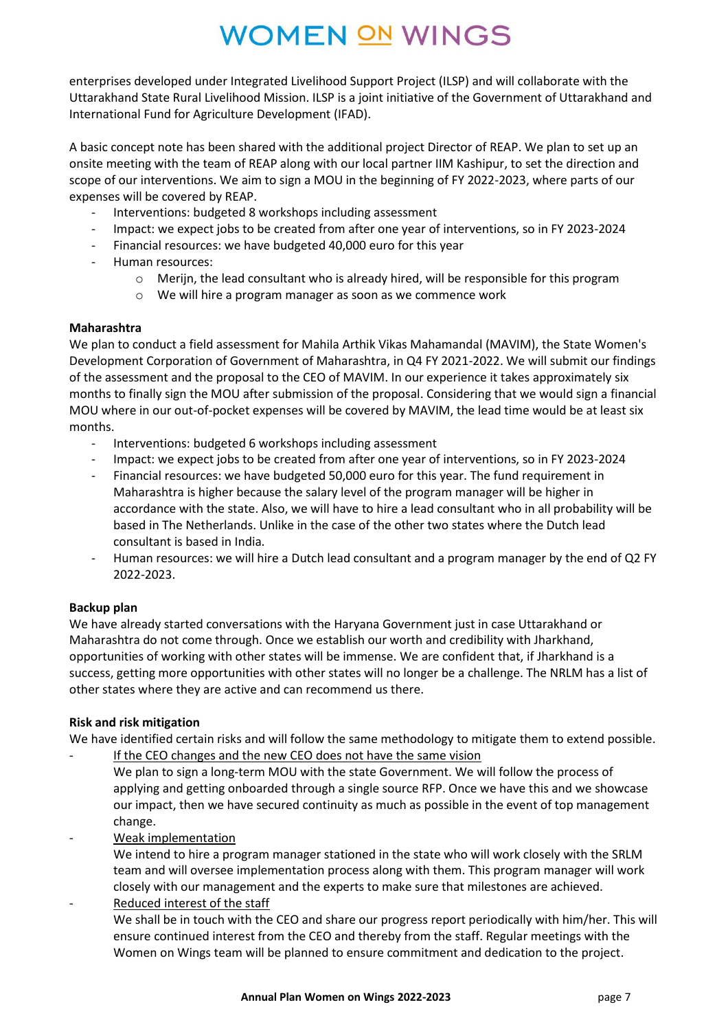enterprises developed under Integrated Livelihood Support Project (ILSP) and will collaborate with the Uttarakhand State Rural Livelihood Mission. ILSP is a joint initiative of the Government of Uttarakhand and International Fund for Agriculture Development (IFAD).

A basic concept note has been shared with the additional project Director of REAP. We plan to set up an onsite meeting with the team of REAP along with our local partner IIM Kashipur, to set the direction and scope of our interventions. We aim to sign a MOU in the beginning of FY 2022-2023, where parts of our expenses will be covered by REAP.

- Interventions: budgeted 8 workshops including assessment
- Impact: we expect jobs to be created from after one year of interventions, so in FY 2023-2024
- Financial resources: we have budgeted 40,000 euro for this year
- Human resources:
	- $\circ$  Merijn, the lead consultant who is already hired, will be responsible for this program
	- o We will hire a program manager as soon as we commence work

#### **Maharashtra**

We plan to conduct a field assessment for Mahila Arthik Vikas Mahamandal (MAVIM), the State Women's Development Corporation of Government of Maharashtra, in Q4 FY 2021-2022. We will submit our findings of the assessment and the proposal to the CEO of MAVIM. In our experience it takes approximately six months to finally sign the MOU after submission of the proposal. Considering that we would sign a financial MOU where in our out-of-pocket expenses will be covered by MAVIM, the lead time would be at least six months.

- Interventions: budgeted 6 workshops including assessment
- Impact: we expect jobs to be created from after one year of interventions, so in FY 2023-2024
- Financial resources: we have budgeted 50,000 euro for this year. The fund requirement in Maharashtra is higher because the salary level of the program manager will be higher in accordance with the state. Also, we will have to hire a lead consultant who in all probability will be based in The Netherlands. Unlike in the case of the other two states where the Dutch lead consultant is based in India.
- Human resources: we will hire a Dutch lead consultant and a program manager by the end of Q2 FY 2022-2023.

#### **Backup plan**

We have already started conversations with the Haryana Government just in case Uttarakhand or Maharashtra do not come through. Once we establish our worth and credibility with Jharkhand, opportunities of working with other states will be immense. We are confident that, if Jharkhand is a success, getting more opportunities with other states will no longer be a challenge. The NRLM has a list of other states where they are active and can recommend us there.

#### **Risk and risk mitigation**

We have identified certain risks and will follow the same methodology to mitigate them to extend possible.

If the CEO changes and the new CEO does not have the same vision We plan to sign a long-term MOU with the state Government. We will follow the process of

applying and getting onboarded through a single source RFP. Once we have this and we showcase our impact, then we have secured continuity as much as possible in the event of top management change.

- Weak implementation

We intend to hire a program manager stationed in the state who will work closely with the SRLM team and will oversee implementation process along with them. This program manager will work closely with our management and the experts to make sure that milestones are achieved.

Reduced interest of the staff

We shall be in touch with the CEO and share our progress report periodically with him/her. This will ensure continued interest from the CEO and thereby from the staff. Regular meetings with the Women on Wings team will be planned to ensure commitment and dedication to the project.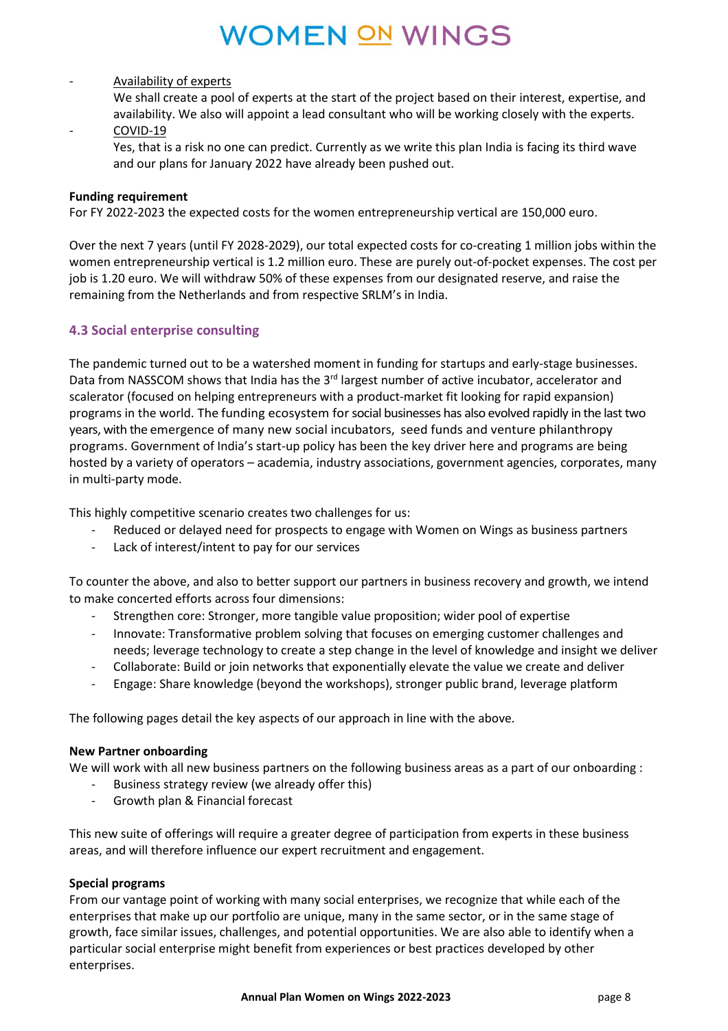#### - Availability of experts

We shall create a pool of experts at the start of the project based on their interest, expertise, and availability. We also will appoint a lead consultant who will be working closely with the experts.

### COVID-19

Yes, that is a risk no one can predict. Currently as we write this plan India is facing its third wave and our plans for January 2022 have already been pushed out.

#### **Funding requirement**

For FY 2022-2023 the expected costs for the women entrepreneurship vertical are 150,000 euro.

Over the next 7 years (until FY 2028-2029), our total expected costs for co-creating 1 million jobs within the women entrepreneurship vertical is 1.2 million euro. These are purely out-of-pocket expenses. The cost per job is 1.20 euro. We will withdraw 50% of these expenses from our designated reserve, and raise the remaining from the Netherlands and from respective SRLM's in India.

#### **4.3 Social enterprise consulting**

The pandemic turned out to be a watershed moment in funding for startups and early-stage businesses. Data from NASSCOM shows that India has the 3<sup>rd</sup> largest number of active incubator, accelerator and scalerator (focused on helping entrepreneurs with a product-market fit looking for rapid expansion) programs in the world. The funding ecosystem forsocial businesses has also evolved rapidly in the last two years, with the emergence of many new social incubators, seed funds and venture philanthropy programs. Government of India's start-up policy has been the key driver here and programs are being hosted by a variety of operators – academia, industry associations, government agencies, corporates, many in multi-party mode.

This highly competitive scenario creates two challenges for us:

- Reduced or delayed need for prospects to engage with Women on Wings as business partners
- Lack of interest/intent to pay for our services

To counter the above, and also to better support our partners in business recovery and growth, we intend to make concerted efforts across four dimensions:

- Strengthen core: Stronger, more tangible value proposition; wider pool of expertise
- Innovate: Transformative problem solving that focuses on emerging customer challenges and needs; leverage technology to create a step change in the level of knowledge and insight we deliver
- Collaborate: Build or join networks that exponentially elevate the value we create and deliver
- Engage: Share knowledge (beyond the workshops), stronger public brand, leverage platform

The following pages detail the key aspects of our approach in line with the above.

#### **New Partner onboarding**

We will work with all new business partners on the following business areas as a part of our onboarding :

- Business strategy review (we already offer this)
- Growth plan & Financial forecast

This new suite of offerings will require a greater degree of participation from experts in these business areas, and will therefore influence our expert recruitment and engagement.

#### **Special programs**

From our vantage point of working with many social enterprises, we recognize that while each of the enterprises that make up our portfolio are unique, many in the same sector, or in the same stage of growth, face similar issues, challenges, and potential opportunities. We are also able to identify when a particular social enterprise might benefit from experiences or best practices developed by other enterprises.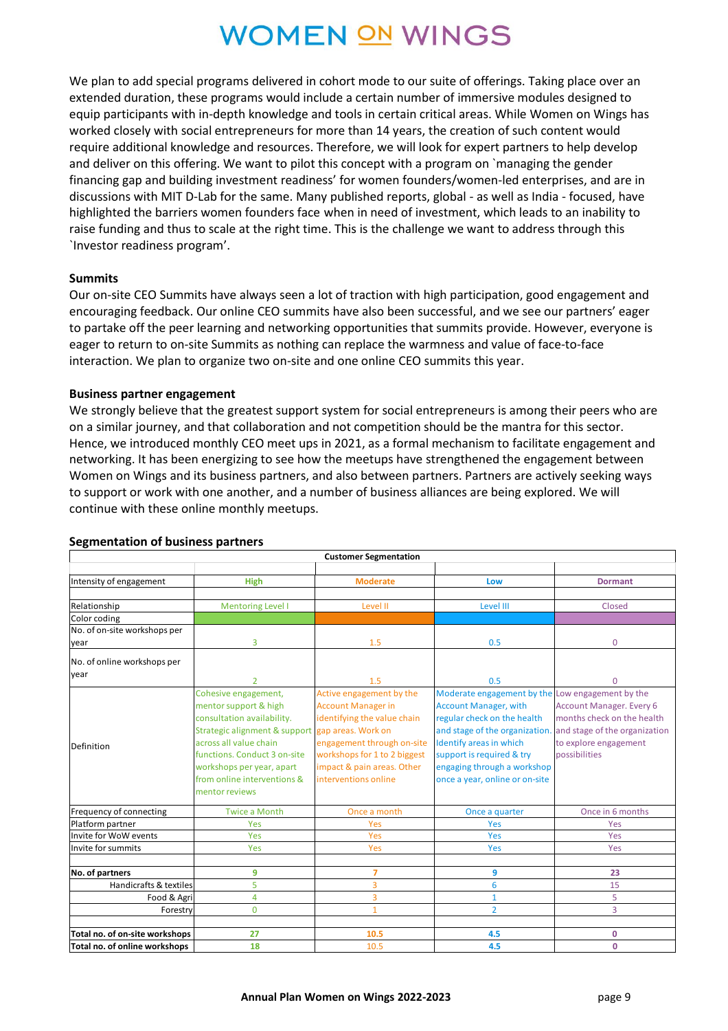We plan to add special programs delivered in cohort mode to our suite of offerings. Taking place over an extended duration, these programs would include a certain number of immersive modules designed to equip participants with in-depth knowledge and tools in certain critical areas. While Women on Wings has worked closely with social entrepreneurs for more than 14 years, the creation of such content would require additional knowledge and resources. Therefore, we will look for expert partners to help develop and deliver on this offering. We want to pilot this concept with a program on `managing the gender financing gap and building investment readiness' for women founders/women-led enterprises, and are in discussions with MIT D-Lab for the same. Many published reports, global - as well as India - focused, have highlighted the barriers women founders face when in need of investment, which leads to an inability to raise funding and thus to scale at the right time. This is the challenge we want to address through this `Investor readiness program'.

#### **Summits**

Our on-site CEO Summits have always seen a lot of traction with high participation, good engagement and encouraging feedback. Our online CEO summits have also been successful, and we see our partners' eager to partake off the peer learning and networking opportunities that summits provide. However, everyone is eager to return to on-site Summits as nothing can replace the warmness and value of face-to-face interaction. We plan to organize two on-site and one online CEO summits this year.

#### **Business partner engagement**

We strongly believe that the greatest support system for social entrepreneurs is among their peers who are on a similar journey, and that collaboration and not competition should be the mantra for this sector. Hence, we introduced monthly CEO meet ups in 2021, as a formal mechanism to facilitate engagement and networking. It has been energizing to see how the meetups have strengthened the engagement between Women on Wings and its business partners, and also between partners. Partners are actively seeking ways to support or work with one another, and a number of business alliances are being explored. We will continue with these online monthly meetups.

|                                                   |                                                                                                                                                                                                                                                                        | <b>Customer Segmentation</b>                                                                                                                                                                                                          |                                                                                                                                                                                                                                                                                   |                                                                                                                                        |
|---------------------------------------------------|------------------------------------------------------------------------------------------------------------------------------------------------------------------------------------------------------------------------------------------------------------------------|---------------------------------------------------------------------------------------------------------------------------------------------------------------------------------------------------------------------------------------|-----------------------------------------------------------------------------------------------------------------------------------------------------------------------------------------------------------------------------------------------------------------------------------|----------------------------------------------------------------------------------------------------------------------------------------|
| Intensity of engagement                           | <b>High</b>                                                                                                                                                                                                                                                            | <b>Moderate</b>                                                                                                                                                                                                                       | Low                                                                                                                                                                                                                                                                               | <b>Dormant</b>                                                                                                                         |
| Relationship                                      | <b>Mentoring Level I</b>                                                                                                                                                                                                                                               | Level II                                                                                                                                                                                                                              | Level III                                                                                                                                                                                                                                                                         | Closed                                                                                                                                 |
| Color coding<br>No. of on-site workshops per      |                                                                                                                                                                                                                                                                        |                                                                                                                                                                                                                                       |                                                                                                                                                                                                                                                                                   |                                                                                                                                        |
| year                                              | 3                                                                                                                                                                                                                                                                      | 1.5                                                                                                                                                                                                                                   | 0.5                                                                                                                                                                                                                                                                               | $\Omega$                                                                                                                               |
| No. of online workshops per<br>year<br>Definition | $\overline{2}$<br>Cohesive engagement,<br>mentor support & high<br>consultation availability.<br>Strategic alignment & support<br>across all value chain<br>functions. Conduct 3 on-site<br>workshops per year, apart<br>from online interventions &<br>mentor reviews | 1.5<br>Active engagement by the<br><b>Account Manager in</b><br>identifying the value chain<br>gap areas. Work on<br>engagement through on-site<br>workshops for 1 to 2 biggest<br>impact & pain areas. Other<br>interventions online | 0.5<br>Moderate engagement by the Low engagement by the<br><b>Account Manager, with</b><br>regular check on the health<br>and stage of the organization.<br>Identify areas in which<br>support is required & try<br>engaging through a workshop<br>once a year, online or on-site | 0<br>Account Manager. Every 6<br>months check on the health<br>and stage of the organization<br>to explore engagement<br>possibilities |
| Frequency of connecting                           | <b>Twice a Month</b>                                                                                                                                                                                                                                                   | Once a month                                                                                                                                                                                                                          | Once a quarter                                                                                                                                                                                                                                                                    | Once in 6 months                                                                                                                       |
| Platform partner                                  | Yes                                                                                                                                                                                                                                                                    | Yes                                                                                                                                                                                                                                   | Yes                                                                                                                                                                                                                                                                               | Yes                                                                                                                                    |
| Invite for WoW events                             | <b>Yes</b>                                                                                                                                                                                                                                                             | Yes                                                                                                                                                                                                                                   | Yes                                                                                                                                                                                                                                                                               | Yes                                                                                                                                    |
| Invite for summits                                | <b>Yes</b>                                                                                                                                                                                                                                                             |                                                                                                                                                                                                                                       | Yes                                                                                                                                                                                                                                                                               | Yes                                                                                                                                    |
|                                                   |                                                                                                                                                                                                                                                                        |                                                                                                                                                                                                                                       |                                                                                                                                                                                                                                                                                   |                                                                                                                                        |
| No. of partners                                   | 9                                                                                                                                                                                                                                                                      | $\overline{7}$                                                                                                                                                                                                                        | 9                                                                                                                                                                                                                                                                                 | 23                                                                                                                                     |
| Handicrafts & textiles                            | 5                                                                                                                                                                                                                                                                      | 3                                                                                                                                                                                                                                     | 6                                                                                                                                                                                                                                                                                 | 15                                                                                                                                     |
| Food & Agri                                       | 4                                                                                                                                                                                                                                                                      | $\overline{3}$                                                                                                                                                                                                                        | $\mathbf{1}$                                                                                                                                                                                                                                                                      | 5                                                                                                                                      |
| Forestry                                          | $\overline{0}$                                                                                                                                                                                                                                                         | $\mathbf{1}$                                                                                                                                                                                                                          | $\overline{2}$                                                                                                                                                                                                                                                                    | $\overline{3}$                                                                                                                         |
|                                                   |                                                                                                                                                                                                                                                                        |                                                                                                                                                                                                                                       |                                                                                                                                                                                                                                                                                   |                                                                                                                                        |
| Total no. of on-site workshops                    | 27                                                                                                                                                                                                                                                                     | 10.5                                                                                                                                                                                                                                  | 4.5                                                                                                                                                                                                                                                                               | 0                                                                                                                                      |
| Total no. of online workshops                     | 18                                                                                                                                                                                                                                                                     | 10.5                                                                                                                                                                                                                                  | 4.5                                                                                                                                                                                                                                                                               | $\mathbf 0$                                                                                                                            |

#### **Segmentation of business partners**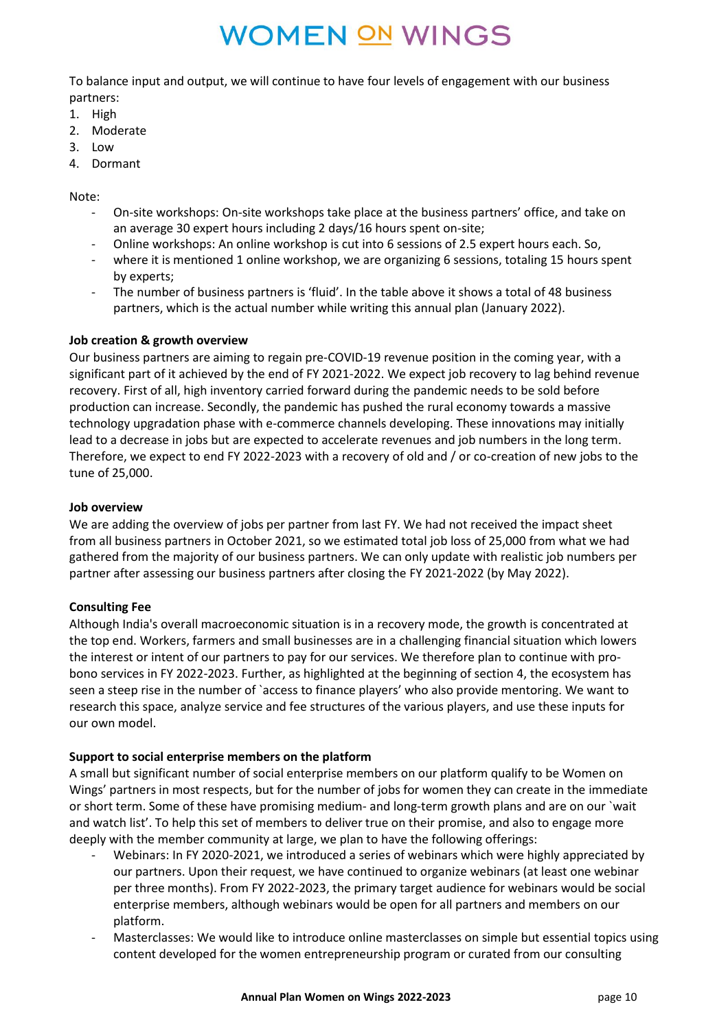To balance input and output, we will continue to have four levels of engagement with our business partners:

- 1. High
- 2. Moderate
- 3. Low
- 4. Dormant

Note:

- On-site workshops: On-site workshops take place at the business partners' office, and take on an average 30 expert hours including 2 days/16 hours spent on-site;
- Online workshops: An online workshop is cut into 6 sessions of 2.5 expert hours each. So,
- where it is mentioned 1 online workshop, we are organizing 6 sessions, totaling 15 hours spent by experts;
- The number of business partners is 'fluid'. In the table above it shows a total of 48 business partners, which is the actual number while writing this annual plan (January 2022).

#### **Job creation & growth overview**

Our business partners are aiming to regain pre-COVID-19 revenue position in the coming year, with a significant part of it achieved by the end of FY 2021-2022. We expect job recovery to lag behind revenue recovery. First of all, high inventory carried forward during the pandemic needs to be sold before production can increase. Secondly, the pandemic has pushed the rural economy towards a massive technology upgradation phase with e-commerce channels developing. These innovations may initially lead to a decrease in jobs but are expected to accelerate revenues and job numbers in the long term. Therefore, we expect to end FY 2022-2023 with a recovery of old and / or co-creation of new jobs to the tune of 25,000.

#### **Job overview**

We are adding the overview of jobs per partner from last FY. We had not received the impact sheet from all business partners in October 2021, so we estimated total job loss of 25,000 from what we had gathered from the majority of our business partners. We can only update with realistic job numbers per partner after assessing our business partners after closing the FY 2021-2022 (by May 2022).

#### **Consulting Fee**

Although India's overall macroeconomic situation is in a recovery mode, the growth is concentrated at the top end. Workers, farmers and small businesses are in a challenging financial situation which lowers the interest or intent of our partners to pay for our services. We therefore plan to continue with probono services in FY 2022-2023. Further, as highlighted at the beginning of section 4, the ecosystem has seen a steep rise in the number of `access to finance players' who also provide mentoring. We want to research this space, analyze service and fee structures of the various players, and use these inputs for our own model.

### **Support to social enterprise members on the platform**

A small but significant number of social enterprise members on our platform qualify to be Women on Wings' partners in most respects, but for the number of jobs for women they can create in the immediate or short term. Some of these have promising medium- and long-term growth plans and are on our `wait and watch list'. To help this set of members to deliver true on their promise, and also to engage more deeply with the member community at large, we plan to have the following offerings:

- Webinars: In FY 2020-2021, we introduced a series of webinars which were highly appreciated by our partners. Upon their request, we have continued to organize webinars (at least one webinar per three months). From FY 2022-2023, the primary target audience for webinars would be social enterprise members, although webinars would be open for all partners and members on our platform.
- Masterclasses: We would like to introduce online masterclasses on simple but essential topics using content developed for the women entrepreneurship program or curated from our consulting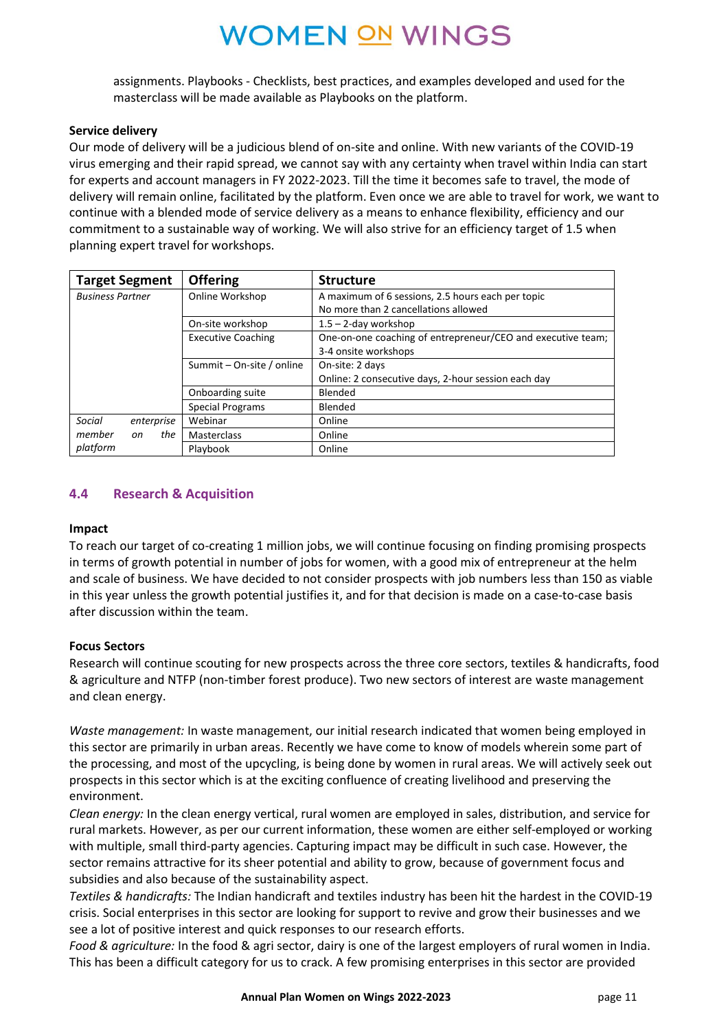assignments. Playbooks - Checklists, best practices, and examples developed and used for the masterclass will be made available as Playbooks on the platform.

#### **Service delivery**

Our mode of delivery will be a judicious blend of on-site and online. With new variants of the COVID-19 virus emerging and their rapid spread, we cannot say with any certainty when travel within India can start for experts and account managers in FY 2022-2023. Till the time it becomes safe to travel, the mode of delivery will remain online, facilitated by the platform. Even once we are able to travel for work, we want to continue with a blended mode of service delivery as a means to enhance flexibility, efficiency and our commitment to a sustainable way of working. We will also strive for an efficiency target of 1.5 when planning expert travel for workshops.

| <b>Target Segment</b>   | <b>Offering</b>           | <b>Structure</b>                                            |
|-------------------------|---------------------------|-------------------------------------------------------------|
| <b>Business Partner</b> | Online Workshop           | A maximum of 6 sessions, 2.5 hours each per topic           |
|                         |                           | No more than 2 cancellations allowed                        |
|                         | On-site workshop          | $1.5 - 2$ -day workshop                                     |
|                         | <b>Executive Coaching</b> | One-on-one coaching of entrepreneur/CEO and executive team; |
|                         |                           | 3-4 onsite workshops                                        |
|                         | Summit – On-site / online | On-site: 2 days                                             |
|                         |                           | Online: 2 consecutive days, 2-hour session each day         |
|                         | Onboarding suite          | Blended                                                     |
|                         | Special Programs          | Blended                                                     |
| Social<br>enterprise    | Webinar                   | Online                                                      |
| the<br>member<br>on     | <b>Masterclass</b>        | Online                                                      |
| platform                | Playbook                  | Online                                                      |

#### **4.4 Research & Acquisition**

#### **Impact**

To reach our target of co-creating 1 million jobs, we will continue focusing on finding promising prospects in terms of growth potential in number of jobs for women, with a good mix of entrepreneur at the helm and scale of business. We have decided to not consider prospects with job numbers less than 150 as viable in this year unless the growth potential justifies it, and for that decision is made on a case-to-case basis after discussion within the team.

#### **Focus Sectors**

Research will continue scouting for new prospects across the three core sectors, textiles & handicrafts, food & agriculture and NTFP (non-timber forest produce). Two new sectors of interest are waste management and clean energy.

*Waste management:* In waste management, our initial research indicated that women being employed in this sector are primarily in urban areas. Recently we have come to know of models wherein some part of the processing, and most of the upcycling, is being done by women in rural areas. We will actively seek out prospects in this sector which is at the exciting confluence of creating livelihood and preserving the environment.

*Clean energy:* In the clean energy vertical, rural women are employed in sales, distribution, and service for rural markets. However, as per our current information, these women are either self-employed or working with multiple, small third-party agencies. Capturing impact may be difficult in such case. However, the sector remains attractive for its sheer potential and ability to grow, because of government focus and subsidies and also because of the sustainability aspect.

*Textiles & handicrafts:* The Indian handicraft and textiles industry has been hit the hardest in the COVID-19 crisis. Social enterprises in this sector are looking for support to revive and grow their businesses and we see a lot of positive interest and quick responses to our research efforts.

*Food & agriculture:* In the food & agri sector, dairy is one of the largest employers of rural women in India. This has been a difficult category for us to crack. A few promising enterprises in this sector are provided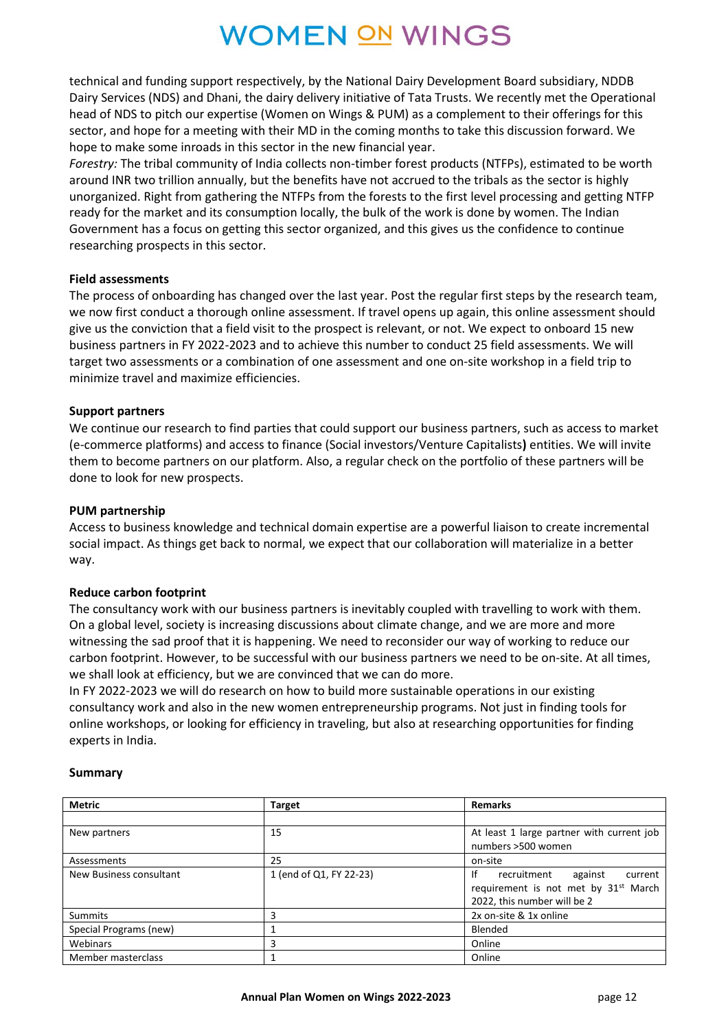technical and funding support respectively, by the National Dairy Development Board subsidiary, NDDB Dairy Services (NDS) and Dhani, the dairy delivery initiative of Tata Trusts. We recently met the Operational head of NDS to pitch our expertise (Women on Wings & PUM) as a complement to their offerings for this sector, and hope for a meeting with their MD in the coming months to take this discussion forward. We hope to make some inroads in this sector in the new financial year.

*Forestry:* The tribal community of India collects non-timber forest products (NTFPs), estimated to be worth around INR two trillion annually, but the benefits have not accrued to the tribals as the sector is highly unorganized. Right from gathering the NTFPs from the forests to the first level processing and getting NTFP ready for the market and its consumption locally, the bulk of the work is done by women. The Indian Government has a focus on getting this sector organized, and this gives us the confidence to continue researching prospects in this sector.

#### **Field assessments**

The process of onboarding has changed over the last year. Post the regular first steps by the research team, we now first conduct a thorough online assessment. If travel opens up again, this online assessment should give us the conviction that a field visit to the prospect is relevant, or not. We expect to onboard 15 new business partners in FY 2022-2023 and to achieve this number to conduct 25 field assessments. We will target two assessments or a combination of one assessment and one on-site workshop in a field trip to minimize travel and maximize efficiencies.

#### **Support partners**

We continue our research to find parties that could support our business partners, such as access to market (e-commerce platforms) and access to finance (Social investors/Venture Capitalists**)** entities. We will invite them to become partners on our platform. Also, a regular check on the portfolio of these partners will be done to look for new prospects.

#### **PUM partnership**

Access to business knowledge and technical domain expertise are a powerful liaison to create incremental social impact. As things get back to normal, we expect that our collaboration will materialize in a better way.

#### **Reduce carbon footprint**

The consultancy work with our business partners is inevitably coupled with travelling to work with them. On a global level, society is increasing discussions about climate change, and we are more and more witnessing the sad proof that it is happening. We need to reconsider our way of working to reduce our carbon footprint. However, to be successful with our business partners we need to be on-site. At all times, we shall look at efficiency, but we are convinced that we can do more.

In FY 2022-2023 we will do research on how to build more sustainable operations in our existing consultancy work and also in the new women entrepreneurship programs. Not just in finding tools for online workshops, or looking for efficiency in traveling, but also at researching opportunities for finding experts in India.

#### **Summary**

| <b>Metric</b>           | Target                  | <b>Remarks</b>                                   |
|-------------------------|-------------------------|--------------------------------------------------|
|                         |                         |                                                  |
| New partners            | 15                      | At least 1 large partner with current job        |
|                         |                         | numbers >500 women                               |
| Assessments             | 25                      | on-site                                          |
| New Business consultant | 1 (end of Q1, FY 22-23) | Ιf<br>recruitment<br>against<br>current          |
|                         |                         | requirement is not met by 31 <sup>st</sup> March |
|                         |                         | 2022, this number will be 2                      |
| Summits                 | 3                       | 2x on-site & 1x online                           |
| Special Programs (new)  |                         | Blended                                          |
| Webinars                | 3                       | Online                                           |
| Member masterclass      |                         | Online                                           |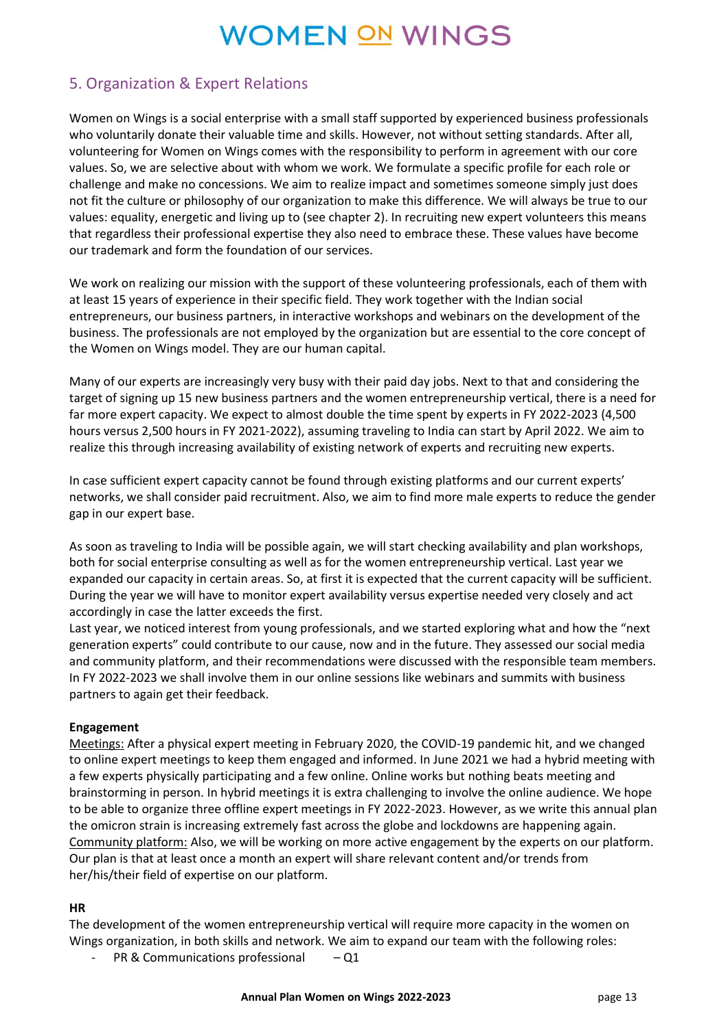## 5. Organization & Expert Relations

Women on Wings is a social enterprise with a small staff supported by experienced business professionals who voluntarily donate their valuable time and skills. However, not without setting standards. After all, volunteering for Women on Wings comes with the responsibility to perform in agreement with our core values. So, we are selective about with whom we work. We formulate a specific profile for each role or challenge and make no concessions. We aim to realize impact and sometimes someone simply just does not fit the culture or philosophy of our organization to make this difference. We will always be true to our values: equality, energetic and living up to (see chapter 2). In recruiting new expert volunteers this means that regardless their professional expertise they also need to embrace these. These values have become our trademark and form the foundation of our services.

We work on realizing our mission with the support of these volunteering professionals, each of them with at least 15 years of experience in their specific field. They work together with the Indian social entrepreneurs, our business partners, in interactive workshops and webinars on the development of the business. The professionals are not employed by the organization but are essential to the core concept of the Women on Wings model. They are our human capital.

Many of our experts are increasingly very busy with their paid day jobs. Next to that and considering the target of signing up 15 new business partners and the women entrepreneurship vertical, there is a need for far more expert capacity. We expect to almost double the time spent by experts in FY 2022-2023 (4,500 hours versus 2,500 hours in FY 2021-2022), assuming traveling to India can start by April 2022. We aim to realize this through increasing availability of existing network of experts and recruiting new experts.

In case sufficient expert capacity cannot be found through existing platforms and our current experts' networks, we shall consider paid recruitment. Also, we aim to find more male experts to reduce the gender gap in our expert base.

As soon as traveling to India will be possible again, we will start checking availability and plan workshops, both for social enterprise consulting as well as for the women entrepreneurship vertical. Last year we expanded our capacity in certain areas. So, at first it is expected that the current capacity will be sufficient. During the year we will have to monitor expert availability versus expertise needed very closely and act accordingly in case the latter exceeds the first.

Last year, we noticed interest from young professionals, and we started exploring what and how the "next generation experts" could contribute to our cause, now and in the future. They assessed our social media and community platform, and their recommendations were discussed with the responsible team members. In FY 2022-2023 we shall involve them in our online sessions like webinars and summits with business partners to again get their feedback.

### **Engagement**

Meetings: After a physical expert meeting in February 2020, the COVID-19 pandemic hit, and we changed to online expert meetings to keep them engaged and informed. In June 2021 we had a hybrid meeting with a few experts physically participating and a few online. Online works but nothing beats meeting and brainstorming in person. In hybrid meetings it is extra challenging to involve the online audience. We hope to be able to organize three offline expert meetings in FY 2022-2023. However, as we write this annual plan the omicron strain is increasing extremely fast across the globe and lockdowns are happening again. Community platform: Also, we will be working on more active engagement by the experts on our platform. Our plan is that at least once a month an expert will share relevant content and/or trends from her/his/their field of expertise on our platform.

### **HR**

The development of the women entrepreneurship vertical will require more capacity in the women on Wings organization, in both skills and network. We aim to expand our team with the following roles:

PR & Communications professional  $- Q1$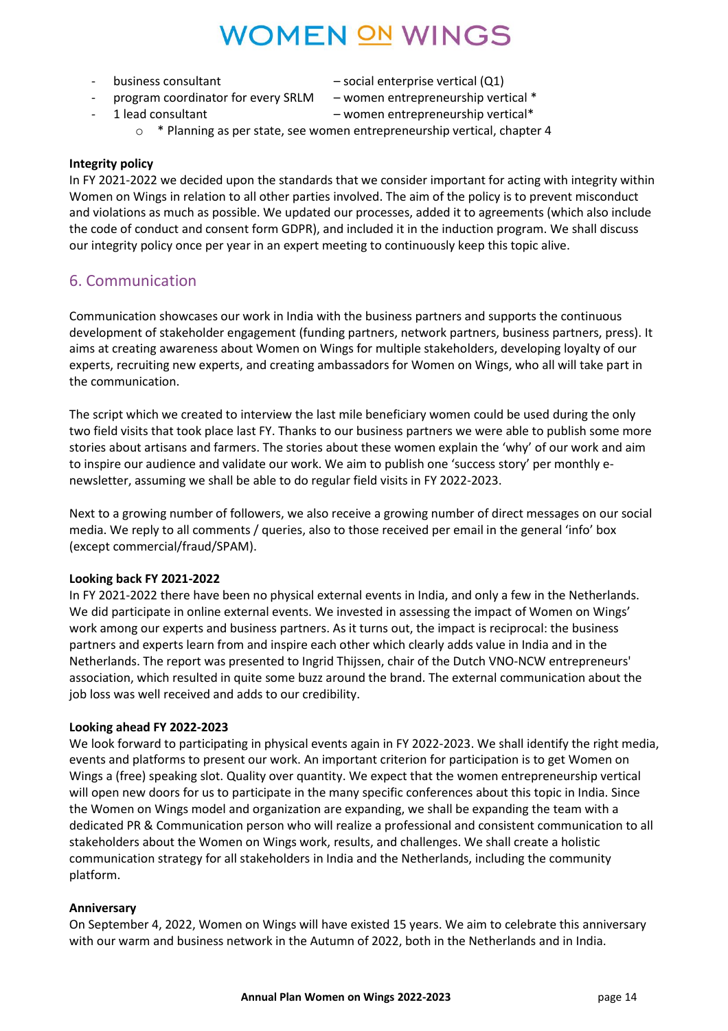- - business consultant social enterprise vertical (Q1)
- 

- program coordinator for every SRLM – women entrepreneurship vertical \*

- 1 lead consultant – women entrepreneurship vertical\*

o \* Planning as per state, see women entrepreneurship vertical, chapter 4

#### **Integrity policy**

In FY 2021-2022 we decided upon the standards that we consider important for acting with integrity within Women on Wings in relation to all other parties involved. The aim of the policy is to prevent misconduct and violations as much as possible. We updated our processes, added it to agreements (which also include the code of conduct and consent form GDPR), and included it in the induction program. We shall discuss our integrity policy once per year in an expert meeting to continuously keep this topic alive.

## 6. Communication

Communication showcases our work in India with the business partners and supports the continuous development of stakeholder engagement (funding partners, network partners, business partners, press). It aims at creating awareness about Women on Wings for multiple stakeholders, developing loyalty of our experts, recruiting new experts, and creating ambassadors for Women on Wings, who all will take part in the communication.

The script which we created to interview the last mile beneficiary women could be used during the only two field visits that took place last FY. Thanks to our business partners we were able to publish some more stories about artisans and farmers. The stories about these women explain the 'why' of our work and aim to inspire our audience and validate our work. We aim to publish one 'success story' per monthly enewsletter, assuming we shall be able to do regular field visits in FY 2022-2023.

Next to a growing number of followers, we also receive a growing number of direct messages on our social media. We reply to all comments / queries, also to those received per email in the general 'info' box (except commercial/fraud/SPAM).

### **Looking back FY 2021-2022**

In FY 2021-2022 there have been no physical external events in India, and only a few in the Netherlands. We did participate in online external events. We invested in assessing the impact of Women on Wings' work among our experts and business partners. As it turns out, the impact is reciprocal: the business partners and experts learn from and inspire each other which clearly adds value in India and in the Netherlands. The report was presented to Ingrid Thijssen, chair of the Dutch VNO-NCW entrepreneurs' association, which resulted in quite some buzz around the brand. The external communication about the job loss was well received and adds to our credibility.

#### **Looking ahead FY 2022-2023**

We look forward to participating in physical events again in FY 2022-2023. We shall identify the right media, events and platforms to present our work. An important criterion for participation is to get Women on Wings a (free) speaking slot. Quality over quantity. We expect that the women entrepreneurship vertical will open new doors for us to participate in the many specific conferences about this topic in India. Since the Women on Wings model and organization are expanding, we shall be expanding the team with a dedicated PR & Communication person who will realize a professional and consistent communication to all stakeholders about the Women on Wings work, results, and challenges. We shall create a holistic communication strategy for all stakeholders in India and the Netherlands, including the community platform.

### **Anniversary**

On September 4, 2022, Women on Wings will have existed 15 years. We aim to celebrate this anniversary with our warm and business network in the Autumn of 2022, both in the Netherlands and in India.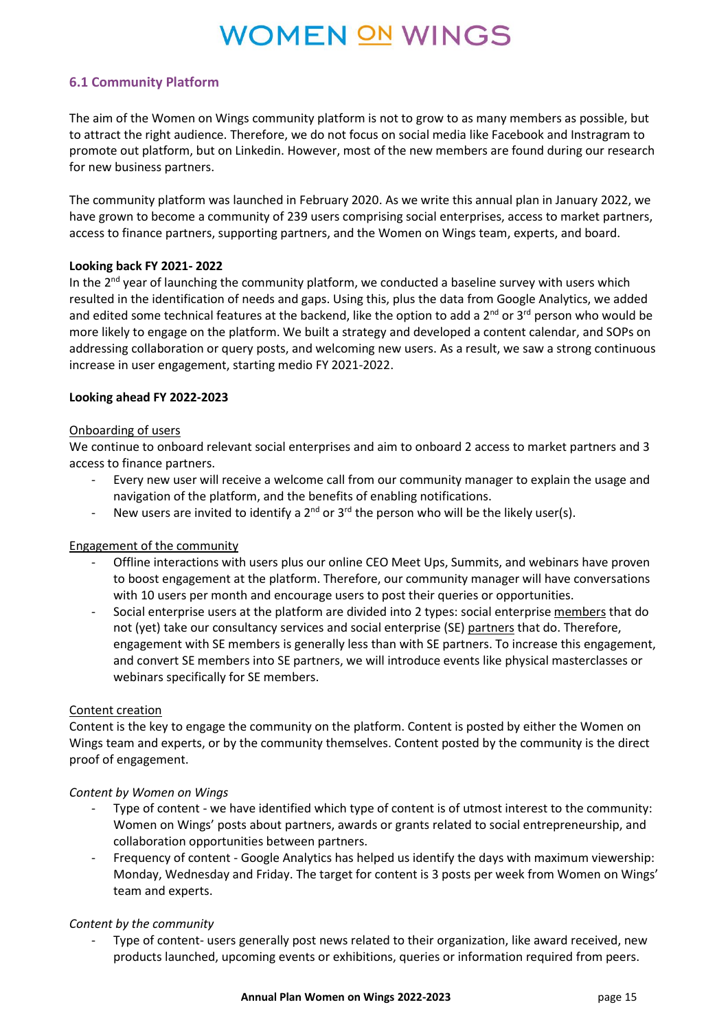### **6.1 Community Platform**

The aim of the Women on Wings community platform is not to grow to as many members as possible, but to attract the right audience. Therefore, we do not focus on social media like Facebook and Instragram to promote out platform, but on Linkedin. However, most of the new members are found during our research for new business partners.

The community platform was launched in February 2020. As we write this annual plan in January 2022, we have grown to become a community of 239 users comprising social enterprises, access to market partners, access to finance partners, supporting partners, and the Women on Wings team, experts, and board.

#### **Looking back FY 2021- 2022**

In the 2<sup>nd</sup> year of launching the community platform, we conducted a baseline survey with users which resulted in the identification of needs and gaps. Using this, plus the data from Google Analytics, we added and edited some technical features at the backend, like the option to add a 2<sup>nd</sup> or 3<sup>rd</sup> person who would be more likely to engage on the platform. We built a strategy and developed a content calendar, and SOPs on addressing collaboration or query posts, and welcoming new users. As a result, we saw a strong continuous increase in user engagement, starting medio FY 2021-2022.

#### **Looking ahead FY 2022-2023**

#### Onboarding of users

We continue to onboard relevant social enterprises and aim to onboard 2 access to market partners and 3 access to finance partners.

- Every new user will receive a welcome call from our community manager to explain the usage and navigation of the platform, and the benefits of enabling notifications.
- New users are invited to identify a  $2<sup>nd</sup>$  or  $3<sup>rd</sup>$  the person who will be the likely user(s).

### Engagement of the community

- Offline interactions with users plus our online CEO Meet Ups, Summits, and webinars have proven to boost engagement at the platform. Therefore, our community manager will have conversations with 10 users per month and encourage users to post their queries or opportunities.
- Social enterprise users at the platform are divided into 2 types: social enterprise members that do not (yet) take our consultancy services and social enterprise (SE) partners that do. Therefore, engagement with SE members is generally less than with SE partners. To increase this engagement, and convert SE members into SE partners, we will introduce events like physical masterclasses or webinars specifically for SE members.

#### Content creation

Content is the key to engage the community on the platform. Content is posted by either the Women on Wings team and experts, or by the community themselves. Content posted by the community is the direct proof of engagement.

#### *Content by Women on Wings*

- Type of content we have identified which type of content is of utmost interest to the community: Women on Wings' posts about partners, awards or grants related to social entrepreneurship, and collaboration opportunities between partners.
- Frequency of content Google Analytics has helped us identify the days with maximum viewership: Monday, Wednesday and Friday. The target for content is 3 posts per week from Women on Wings' team and experts.

#### *Content by the community*

Type of content- users generally post news related to their organization, like award received, new products launched, upcoming events or exhibitions, queries or information required from peers.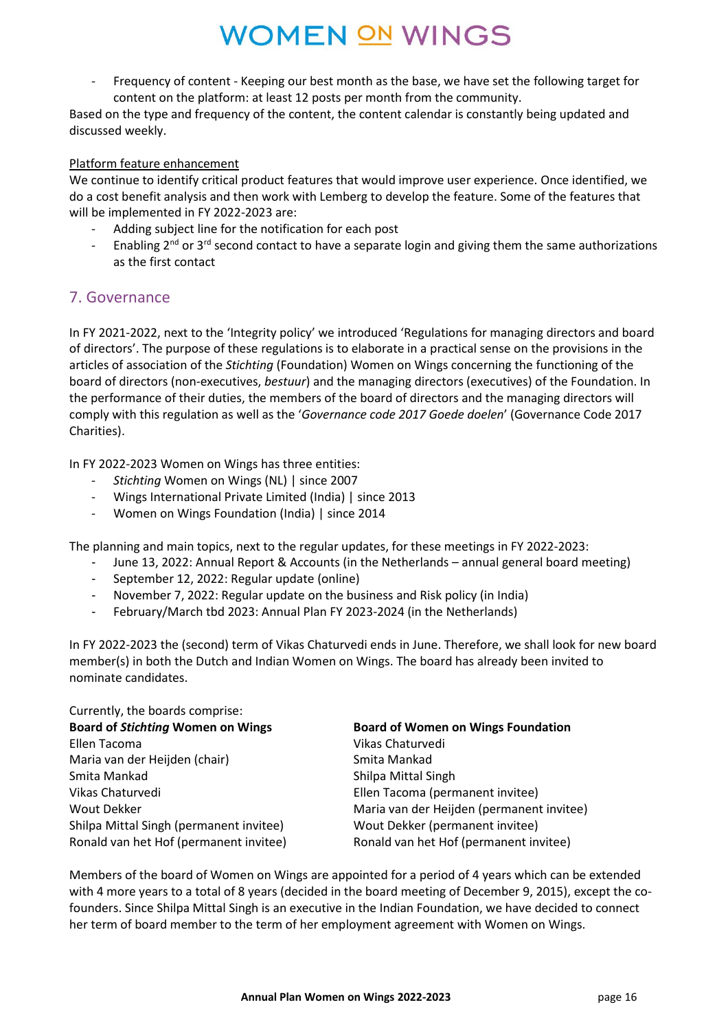- Frequency of content - Keeping our best month as the base, we have set the following target for content on the platform: at least 12 posts per month from the community.

Based on the type and frequency of the content, the content calendar is constantly being updated and discussed weekly.

#### Platform feature enhancement

We continue to identify critical product features that would improve user experience. Once identified, we do a cost benefit analysis and then work with Lemberg to develop the feature. Some of the features that will be implemented in FY 2022-2023 are:

- Adding subject line for the notification for each post
- Enabling  $2^{nd}$  or  $3^{rd}$  second contact to have a separate login and giving them the same authorizations as the first contact

### 7. Governance

In FY 2021-2022, next to the 'Integrity policy' we introduced 'Regulations for managing directors and board of directors'. The purpose of these regulations is to elaborate in a practical sense on the provisions in the articles of association of the *Stichting* (Foundation) Women on Wings concerning the functioning of the board of directors (non-executives, *bestuur*) and the managing directors (executives) of the Foundation. In the performance of their duties, the members of the board of directors and the managing directors will comply with this regulation as well as the '*Governance code 2017 Goede doelen*' (Governance Code 2017 Charities).

In FY 2022-2023 Women on Wings has three entities:

- *Stichting* Women on Wings (NL) | since 2007
- Wings International Private Limited (India) | since 2013
- Women on Wings Foundation (India) | since 2014

The planning and main topics, next to the regular updates, for these meetings in FY 2022-2023:

- June 13, 2022: Annual Report & Accounts (in the Netherlands annual general board meeting)
- September 12, 2022: Regular update (online)
- November 7, 2022: Regular update on the business and Risk policy (in India)
- February/March tbd 2023: Annual Plan FY 2023-2024 (in the Netherlands)

In FY 2022-2023 the (second) term of Vikas Chaturvedi ends in June. Therefore, we shall look for new board member(s) in both the Dutch and Indian Women on Wings. The board has already been invited to nominate candidates.

| Currently, the boards comprise:          |                                           |
|------------------------------------------|-------------------------------------------|
| <b>Board of Stichting Women on Wings</b> | <b>Board of Women on Wings Foundation</b> |
| Ellen Tacoma                             | Vikas Chaturvedi                          |
| Maria van der Heijden (chair)            | Smita Mankad                              |
| Smita Mankad                             | Shilpa Mittal Singh                       |
| Vikas Chaturvedi                         | Ellen Tacoma (permanent invitee)          |
| <b>Wout Dekker</b>                       | Maria van der Heijden (permanent invitee) |
| Shilpa Mittal Singh (permanent invitee)  | Wout Dekker (permanent invitee)           |
| Ronald van het Hof (permanent invitee)   | Ronald van het Hof (permanent invitee)    |

Members of the board of Women on Wings are appointed for a period of 4 years which can be extended with 4 more years to a total of 8 years (decided in the board meeting of December 9, 2015), except the cofounders. Since Shilpa Mittal Singh is an executive in the Indian Foundation, we have decided to connect her term of board member to the term of her employment agreement with Women on Wings.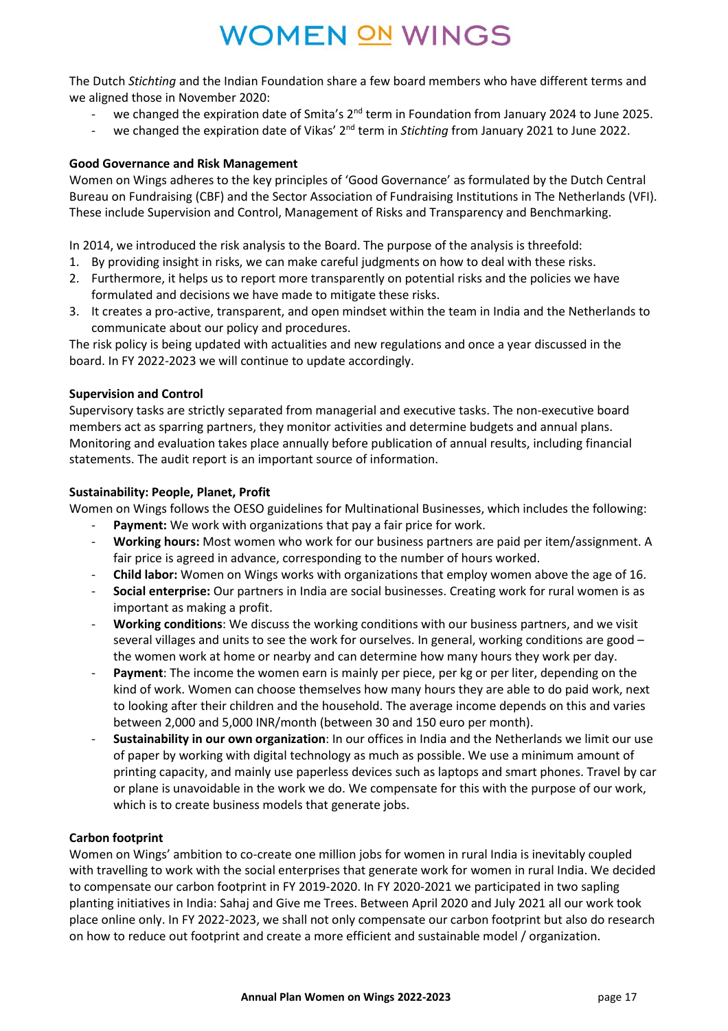The Dutch *Stichting* and the Indian Foundation share a few board members who have different terms and we aligned those in November 2020:

- we changed the expiration date of Smita's 2<sup>nd</sup> term in Foundation from January 2024 to June 2025.
- we changed the expiration date of Vikas' 2nd term in *Stichting* from January 2021 to June 2022.

#### **Good Governance and Risk Management**

Women on Wings adheres to the key principles of 'Good Governance' as formulated by the Dutch Central Bureau on Fundraising (CBF) and the Sector Association of Fundraising Institutions in The Netherlands (VFI). These include Supervision and Control, Management of Risks and Transparency and Benchmarking.

In 2014, we introduced the risk analysis to the Board. The purpose of the analysis is threefold:

- 1. By providing insight in risks, we can make careful judgments on how to deal with these risks.
- 2. Furthermore, it helps us to report more transparently on potential risks and the policies we have formulated and decisions we have made to mitigate these risks.
- 3. It creates a pro-active, transparent, and open mindset within the team in India and the Netherlands to communicate about our policy and procedures.

The risk policy is being updated with actualities and new regulations and once a year discussed in the board. In FY 2022-2023 we will continue to update accordingly.

#### **Supervision and Control**

Supervisory tasks are strictly separated from managerial and executive tasks. The non-executive board members act as sparring partners, they monitor activities and determine budgets and annual plans. Monitoring and evaluation takes place annually before publication of annual results, including financial statements. The audit report is an important source of information.

#### **Sustainability: People, Planet, Profit**

Women on Wings follows the OESO guidelines for Multinational Businesses, which includes the following:

- Payment: We work with organizations that pay a fair price for work.
- **Working hours:** Most women who work for our business partners are paid per item/assignment. A fair price is agreed in advance, corresponding to the number of hours worked.
- **Child labor:** Women on Wings works with organizations that employ women above the age of 16.
- **Social enterprise:** Our partners in India are social businesses. Creating work for rural women is as important as making a profit.
- **Working conditions**: We discuss the working conditions with our business partners, and we visit several villages and units to see the work for ourselves. In general, working conditions are good – the women work at home or nearby and can determine how many hours they work per day.
- **Payment:** The income the women earn is mainly per piece, per kg or per liter, depending on the kind of work. Women can choose themselves how many hours they are able to do paid work, next to looking after their children and the household. The average income depends on this and varies between 2,000 and 5,000 INR/month (between 30 and 150 euro per month).
- **Sustainability in our own organization**: In our offices in India and the Netherlands we limit our use of paper by working with digital technology as much as possible. We use a minimum amount of printing capacity, and mainly use paperless devices such as laptops and smart phones. Travel by car or plane is unavoidable in the work we do. We compensate for this with the purpose of our work, which is to create business models that generate jobs.

### **Carbon footprint**

Women on Wings' ambition to co-create one million jobs for women in rural India is inevitably coupled with travelling to work with the social enterprises that generate work for women in rural India. We decided to compensate our carbon footprint in FY 2019-2020. In FY 2020-2021 we participated in two sapling planting initiatives in India: Sahaj and Give me Trees. Between April 2020 and July 2021 all our work took place online only. In FY 2022-2023, we shall not only compensate our carbon footprint but also do research on how to reduce out footprint and create a more efficient and sustainable model / organization.